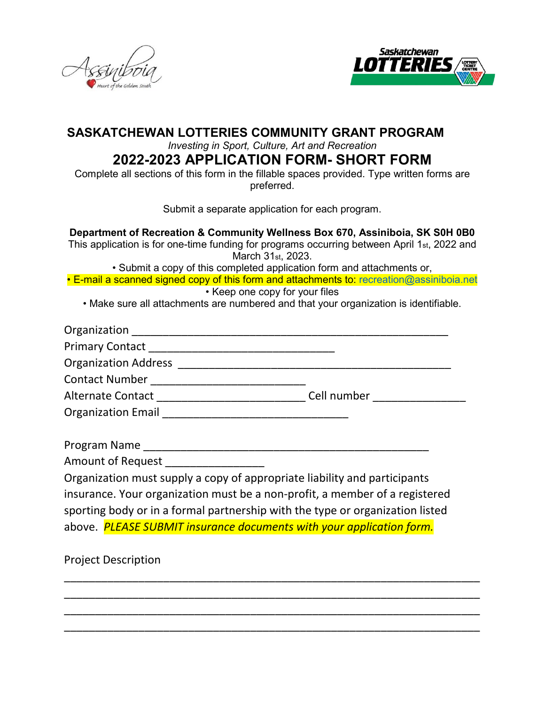



## **SASKATCHEWAN LOTTERIES COMMUNITY GRANT PROGRAM**

*Investing in Sport, Culture, Art and Recreation*

# **2022-2023 APPLICATION FORM- SHORT FORM**

Complete all sections of this form in the fillable spaces provided. Type written forms are preferred.

Submit a separate application for each program.

**Department of Recreation & Community Wellness Box 670, Assiniboia, SK S0H 0B0** This application is for one-time funding for programs occurring between April 1st, 2022 and March 31st, 2023.

• Submit a copy of this completed application form and attachments or,

• E-mail a scanned signed copy of this form and attachments to: recreation@assiniboia.net

• Keep one copy for your files

• Make sure all attachments are numbered and that your organization is identifiable.

| <b>Organization Address</b> and the control of the control of the control of the control of the control of the control of the control of the control of the control of the control of the control of the control of the control of |
|------------------------------------------------------------------------------------------------------------------------------------------------------------------------------------------------------------------------------------|
|                                                                                                                                                                                                                                    |
| Alternate Contact National Alternate Contact<br>Cell number and the state of the state of the state of the state of the state of the state of the state of the                                                                     |
|                                                                                                                                                                                                                                    |
|                                                                                                                                                                                                                                    |

Program Name \_\_\_\_\_\_\_\_\_\_\_\_\_\_\_\_\_\_\_\_\_\_\_\_\_\_\_\_\_\_\_\_\_\_\_\_\_\_\_\_\_\_\_\_\_\_

Amount of Request

Organization must supply a copy of appropriate liability and participants insurance. Your organization must be a non-profit, a member of a registered sporting body or in a formal partnership with the type or organization listed above. *PLEASE SUBMIT insurance documents with your application form.*

\_\_\_\_\_\_\_\_\_\_\_\_\_\_\_\_\_\_\_\_\_\_\_\_\_\_\_\_\_\_\_\_\_\_\_\_\_\_\_\_\_\_\_\_\_\_\_\_\_\_\_\_\_\_\_\_\_\_\_\_\_\_\_\_\_\_\_ \_\_\_\_\_\_\_\_\_\_\_\_\_\_\_\_\_\_\_\_\_\_\_\_\_\_\_\_\_\_\_\_\_\_\_\_\_\_\_\_\_\_\_\_\_\_\_\_\_\_\_\_\_\_\_\_\_\_\_\_\_\_\_\_\_\_\_ \_\_\_\_\_\_\_\_\_\_\_\_\_\_\_\_\_\_\_\_\_\_\_\_\_\_\_\_\_\_\_\_\_\_\_\_\_\_\_\_\_\_\_\_\_\_\_\_\_\_\_\_\_\_\_\_\_\_\_\_\_\_\_\_\_\_\_ \_\_\_\_\_\_\_\_\_\_\_\_\_\_\_\_\_\_\_\_\_\_\_\_\_\_\_\_\_\_\_\_\_\_\_\_\_\_\_\_\_\_\_\_\_\_\_\_\_\_\_\_\_\_\_\_\_\_\_\_\_\_\_\_\_\_\_

Project Description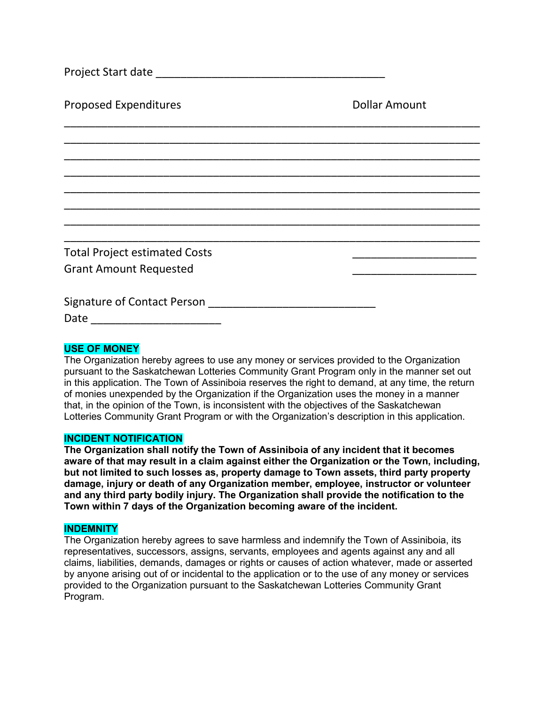| Project Start date |  |
|--------------------|--|
|                    |  |

Proposed Expenditures **Dollar Amount** 

Total Project estimated Costs \_\_\_\_\_\_\_\_\_\_\_\_\_\_\_\_\_\_\_\_ Grant Amount Requested \_\_\_\_\_\_\_\_\_\_\_\_\_\_\_\_\_\_\_\_

| <b>Signature of Contact Person</b> |  |
|------------------------------------|--|
|                                    |  |

Date \_\_\_\_\_\_\_\_\_\_\_\_\_\_\_\_\_\_\_\_\_

### **USE OF MONEY**

The Organization hereby agrees to use any money or services provided to the Organization pursuant to the Saskatchewan Lotteries Community Grant Program only in the manner set out in this application. The Town of Assiniboia reserves the right to demand, at any time, the return of monies unexpended by the Organization if the Organization uses the money in a manner that, in the opinion of the Town, is inconsistent with the objectives of the Saskatchewan Lotteries Community Grant Program or with the Organization's description in this application.

\_\_\_\_\_\_\_\_\_\_\_\_\_\_\_\_\_\_\_\_\_\_\_\_\_\_\_\_\_\_\_\_\_\_\_\_\_\_\_\_\_\_\_\_\_\_\_\_\_\_\_\_\_\_\_\_\_\_\_\_\_\_\_\_\_\_\_ \_\_\_\_\_\_\_\_\_\_\_\_\_\_\_\_\_\_\_\_\_\_\_\_\_\_\_\_\_\_\_\_\_\_\_\_\_\_\_\_\_\_\_\_\_\_\_\_\_\_\_\_\_\_\_\_\_\_\_\_\_\_\_\_\_\_\_ \_\_\_\_\_\_\_\_\_\_\_\_\_\_\_\_\_\_\_\_\_\_\_\_\_\_\_\_\_\_\_\_\_\_\_\_\_\_\_\_\_\_\_\_\_\_\_\_\_\_\_\_\_\_\_\_\_\_\_\_\_\_\_\_\_\_\_ \_\_\_\_\_\_\_\_\_\_\_\_\_\_\_\_\_\_\_\_\_\_\_\_\_\_\_\_\_\_\_\_\_\_\_\_\_\_\_\_\_\_\_\_\_\_\_\_\_\_\_\_\_\_\_\_\_\_\_\_\_\_\_\_\_\_\_ \_\_\_\_\_\_\_\_\_\_\_\_\_\_\_\_\_\_\_\_\_\_\_\_\_\_\_\_\_\_\_\_\_\_\_\_\_\_\_\_\_\_\_\_\_\_\_\_\_\_\_\_\_\_\_\_\_\_\_\_\_\_\_\_\_\_\_ \_\_\_\_\_\_\_\_\_\_\_\_\_\_\_\_\_\_\_\_\_\_\_\_\_\_\_\_\_\_\_\_\_\_\_\_\_\_\_\_\_\_\_\_\_\_\_\_\_\_\_\_\_\_\_\_\_\_\_\_\_\_\_\_\_\_\_ \_\_\_\_\_\_\_\_\_\_\_\_\_\_\_\_\_\_\_\_\_\_\_\_\_\_\_\_\_\_\_\_\_\_\_\_\_\_\_\_\_\_\_\_\_\_\_\_\_\_\_\_\_\_\_\_\_\_\_\_\_\_\_\_\_\_\_ \_\_\_\_\_\_\_\_\_\_\_\_\_\_\_\_\_\_\_\_\_\_\_\_\_\_\_\_\_\_\_\_\_\_\_\_\_\_\_\_\_\_\_\_\_\_\_\_\_\_\_\_\_\_\_\_\_\_\_\_\_\_\_\_\_\_\_

#### **INCIDENT NOTIFICATION**

**The Organization shall notify the Town of Assiniboia of any incident that it becomes aware of that may result in a claim against either the Organization or the Town, including, but not limited to such losses as, property damage to Town assets, third party property damage, injury or death of any Organization member, employee, instructor or volunteer and any third party bodily injury. The Organization shall provide the notification to the Town within 7 days of the Organization becoming aware of the incident.** 

#### **INDEMNITY**

The Organization hereby agrees to save harmless and indemnify the Town of Assiniboia, its representatives, successors, assigns, servants, employees and agents against any and all claims, liabilities, demands, damages or rights or causes of action whatever, made or asserted by anyone arising out of or incidental to the application or to the use of any money or services provided to the Organization pursuant to the Saskatchewan Lotteries Community Grant Program.